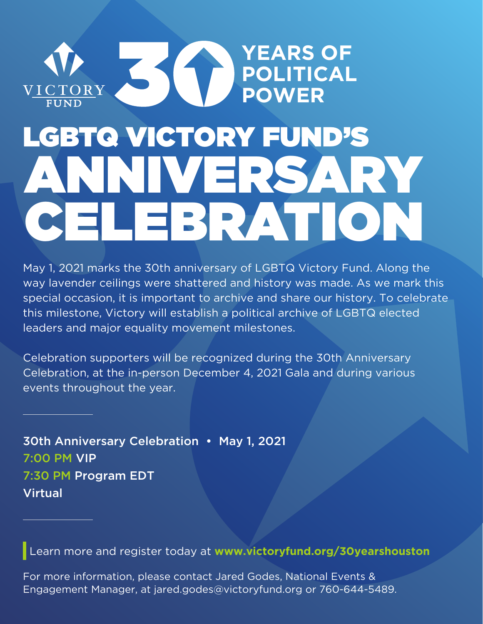

## ANNIVERSARY CELEBRATION LGBTQ VICTORY FUND'S

May 1, 2021 marks the 30th anniversary of LGBTQ Victory Fund. Along the way lavender ceilings were shattered and history was made. As we mark this special occasion, it is important to archive and share our history. To celebrate this milestone, Victory will establish a political archive of LGBTQ elected leaders and major equality movement milestones.

Celebration supporters will be recognized during the 30th Anniversary Celebration, at the in-person December 4, 2021 Gala and during various events throughout the year.

30th Anniversary Celebration • May 1, 2021 7:00 PM VIP 7:30 PM Program EDT Virtual

Learn more and register today at **www.victoryfund.org/30yearshouston**

For more information, please contact Jared Godes, National Events & Engagement Manager, at jared.godes@victoryfund.org or 760-644-5489.